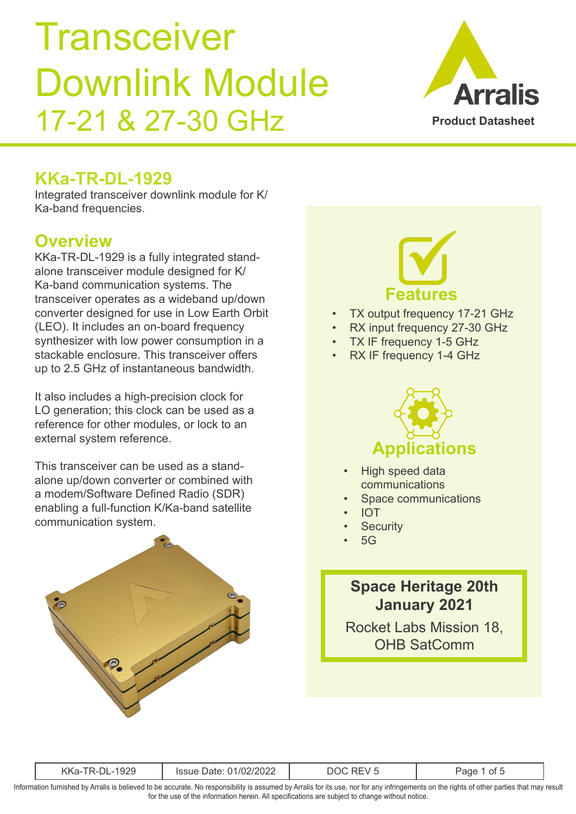

#### **KKa-TR-DL-1929**

Integrated transceiver downlink module for K/ Ka-band frequencies.

#### **Overview**

KKa-TR-DL-1929 is a fully integrated standalone transceiver module designed for K/ Ka-band communication systems. The transceiver operates as a wideband up/down converter designed for use in Low Earth Orbit (LEO). It includes an on-board frequency synthesizer with low power consumption in a stackable enclosure. This transceiver offers up to 2.5 GHz of instantaneous bandwidth.

It also includes a high-precision clock for LO generation; this clock can be used as a reference for other modules, or lock to an external system reference.

This transceiver can be used as a standalone up/down converter or combined with a modem/Software Defined Radio (SDR) enabling a full-function K/Ka-band satellite communication system.



# **Features**

- TX output frequency 17-21 GHz
- RX input frequency 27-30 GHz
- TX IF frequency 1-5 GHz
- RX IF frequency 1-4 GHz



- High speed data communications
- Space communications
- IOT
- **Security**
- 5G

#### **Space Heritage 20th January 2021**

Rocket Labs Mission 18, OHB SatComm

| 1020<br>$\cdots$<br>1/02/202<br><sup>i</sup> ssue<br>Date:<br>$-+$<br>1C<br>.\r\d*<br>.ರ∠ಎ |  |
|--------------------------------------------------------------------------------------------|--|
|--------------------------------------------------------------------------------------------|--|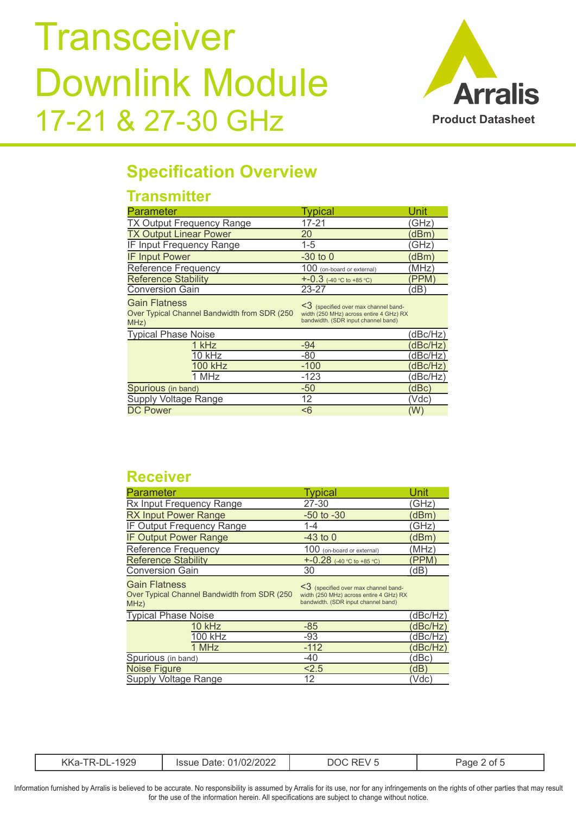

#### **Specification Overview**

#### **Transmitter**

| <b>Parameter</b>                                                      | <b>Typical</b>                                                                      | Unit     |
|-----------------------------------------------------------------------|-------------------------------------------------------------------------------------|----------|
| TX Output Frequency Range                                             | 17-21                                                                               | (GHz)    |
| <b>TX Output Linear Power</b>                                         | 20                                                                                  | (dBm)    |
| IF Input Frequency Range                                              | $1 - 5$                                                                             | (GHz)    |
| <b>IF Input Power</b>                                                 | $-30$ to 0                                                                          | dBm)     |
| <b>Reference Frequency</b>                                            | 100 (on-board or external)                                                          | (MHz)    |
| <b>Reference Stability</b>                                            | $+ -0.3$ (-40 °C to +85 °C)                                                         | (PPM)    |
| <b>Conversion Gain</b>                                                | 23-27                                                                               | (dB)     |
| <b>Gain Flatness</b><br>Over Typical Channel Bandwidth from SDR (250) | $\leq$ (specified over max channel band-<br>width (250 MHz) across entire 4 GHz) RX |          |
| MHz)                                                                  | bandwidth. (SDR input channel band)                                                 |          |
| <b>Typical Phase Noise</b>                                            |                                                                                     | (dBc/Hz) |
| 1 kHz                                                                 | $-94$                                                                               | dBc/Hz)  |
| 10 kHz                                                                | $-80$                                                                               | dBc/Hz   |
| <b>100 kHz</b>                                                        | $-100$                                                                              | (dBc/Hz) |
| 1 MHz                                                                 | $-123$                                                                              | (dBc/Hz) |
| Spurious (in band)                                                    | $-50$                                                                               | dBc)     |
| Supply Voltage Range                                                  | 12                                                                                  | (Vdc)    |

#### **Receiver**

| <b>Parameter</b>                                                              | <b>Typical</b>                                                                                                             | Unit     |
|-------------------------------------------------------------------------------|----------------------------------------------------------------------------------------------------------------------------|----------|
| Rx Input Frequency Range                                                      | 27-30                                                                                                                      | (GHz)    |
| <b>RX Input Power Range</b>                                                   | $-50$ to $-30$                                                                                                             | (dBm)    |
| IF Output Frequency Range                                                     | $1 - 4$                                                                                                                    | (GHz)    |
| <b>IF Output Power Range</b>                                                  | $-43$ to 0                                                                                                                 | (dBm)    |
| <b>Reference Frequency</b>                                                    | 100 (on-board or external)                                                                                                 | (MHz)    |
| <b>Reference Stability</b>                                                    | +-0.28 $(-40 °C)$ to $+85 °C)$                                                                                             | (PPM)    |
| <b>Conversion Gain</b>                                                        | 30                                                                                                                         | (dB)     |
| <b>Gain Flatness</b><br>Over Typical Channel Bandwidth from SDR (250)<br>MHz) | $\leq$ (specified over max channel band-<br>width (250 MHz) across entire 4 GHz) RX<br>bandwidth. (SDR input channel band) |          |
| <b>Typical Phase Noise</b>                                                    |                                                                                                                            | (dBc/Hz) |
| 10 kHz                                                                        | $-85$                                                                                                                      | (dBc/Hz) |
| 100 kHz                                                                       | $-93$                                                                                                                      | (dBc/Hz) |
| 1 MHz                                                                         | $-112$                                                                                                                     | (dBc/Hz) |
| Spurious (in band)                                                            | $-40$                                                                                                                      | (dBc)    |
| <b>Noise Figure</b>                                                           | 2.5                                                                                                                        | (dB)     |
| <b>Supply Voltage Range</b>                                                   | 12                                                                                                                         | (Vdc)    |

| റാറ | UZZ | в |  |
|-----|-----|---|--|
|     |     |   |  |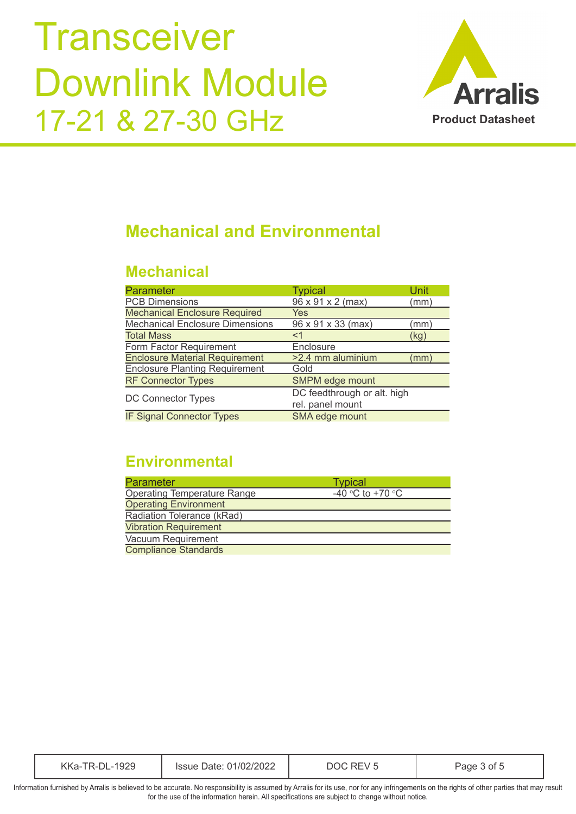

#### **Mechanical and Environmental**

#### **Mechanical**

| <b>Parameter</b>                       | <b>Typical</b>              | Unit |
|----------------------------------------|-----------------------------|------|
| <b>PCB Dimensions</b>                  | 96 x 91 x 2 (max)           | (mm) |
| <b>Mechanical Enclosure Required</b>   | Yes                         |      |
| <b>Mechanical Enclosure Dimensions</b> | 96 x 91 x 33 (max)          | (mm) |
| <b>Total Mass</b>                      | $<$ 1                       | (kg) |
| Form Factor Requirement                | Enclosure                   |      |
| <b>Enclosure Material Requirement</b>  | >2.4 mm aluminium           | (mm) |
| <b>Enclosure Planting Requirement</b>  | Gold                        |      |
| <b>RF Connector Types</b>              | SMPM edge mount             |      |
|                                        | DC feedthrough or alt. high |      |
| <b>DC Connector Types</b>              | rel. panel mount            |      |
| <b>IF Signal Connector Types</b>       | SMA edge mount              |      |

#### **Environmental**

| <b>Parameter</b>                   | <b>Typical</b>   |
|------------------------------------|------------------|
| <b>Operating Temperature Range</b> | -40 °C to +70 °C |
| <b>Operating Environment</b>       |                  |
| Radiation Tolerance (kRad)         |                  |
| <b>Vibration Requirement</b>       |                  |
| Vacuum Requirement                 |                  |
| <b>Compliance Standards</b>        |                  |

| 1929<br>ққа- | 01/02/2022<br>lssue Date: | RF≀<br>10<br>$\mathbf{v}$ | Page<br>ot. |
|--------------|---------------------------|---------------------------|-------------|
|--------------|---------------------------|---------------------------|-------------|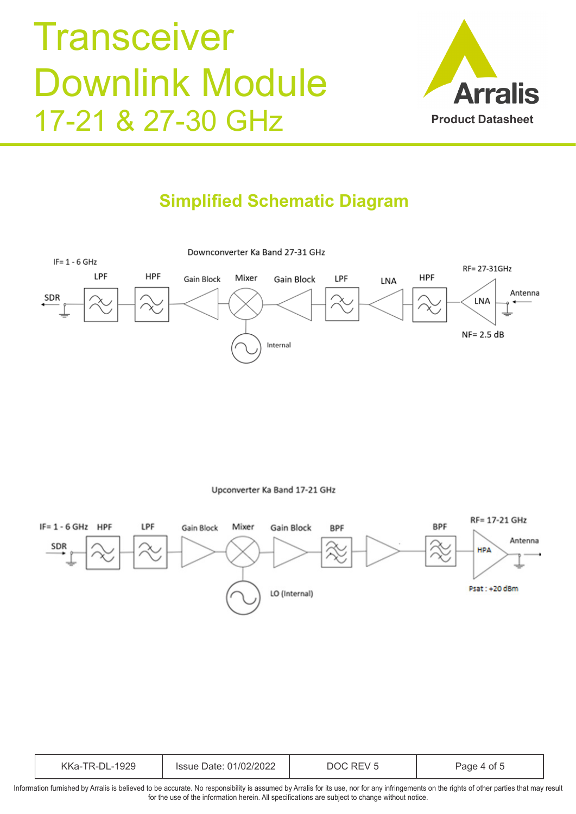

### **Simplified Schematic Diagram**



Upconverter Ka Band 17-21 GHz



| 929<br>$\sqrt{2}$<br>`\r\d' | ാറാല<br>ገ1/በ2<br>Date:<br>Issue<br><i>L</i> UZZ | $\mathcal{L}$ | ∩Ť<br>ат |
|-----------------------------|-------------------------------------------------|---------------|----------|
|-----------------------------|-------------------------------------------------|---------------|----------|